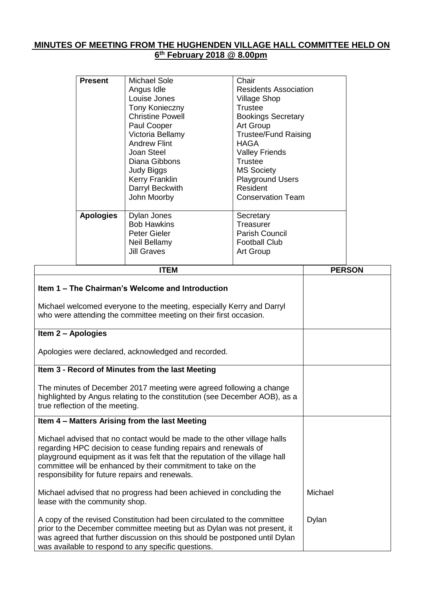## **MINUTES OF MEETING FROM THE HUGHENDEN VILLAGE HALL COMMITTEE HELD ON 6 th February 2018 @ 8.00pm**

| <b>Present</b>   | <b>Michael Sole</b><br>Angus Idle<br>Louise Jones<br><b>Tony Konieczny</b><br><b>Christine Powell</b><br>Paul Cooper<br>Victoria Bellamy<br><b>Andrew Flint</b><br>Joan Steel<br>Diana Gibbons<br>Judy Biggs<br>Kerry Franklin<br>Darryl Beckwith<br>John Moorby | Chair<br><b>Residents Association</b><br><b>Village Shop</b><br>Trustee<br><b>Bookings Secretary</b><br>Art Group<br><b>Trustee/Fund Raising</b><br><b>HAGA</b><br><b>Valley Friends</b><br>Trustee<br><b>MS Society</b><br><b>Playground Users</b><br>Resident<br><b>Conservation Team</b> |
|------------------|------------------------------------------------------------------------------------------------------------------------------------------------------------------------------------------------------------------------------------------------------------------|---------------------------------------------------------------------------------------------------------------------------------------------------------------------------------------------------------------------------------------------------------------------------------------------|
| <b>Apologies</b> | Dylan Jones<br><b>Bob Hawkins</b><br>Peter Gieler<br>Neil Bellamy<br><b>Jill Graves</b>                                                                                                                                                                          | Secretary<br>Treasurer<br><b>Parish Council</b><br><b>Football Club</b><br>Art Group                                                                                                                                                                                                        |

| <b>ITEM</b>                                                                                                                                                                                                                                                                                                                                    | <b>PERSON</b> |
|------------------------------------------------------------------------------------------------------------------------------------------------------------------------------------------------------------------------------------------------------------------------------------------------------------------------------------------------|---------------|
| Item 1 – The Chairman's Welcome and Introduction                                                                                                                                                                                                                                                                                               |               |
| Michael welcomed everyone to the meeting, especially Kerry and Darryl<br>who were attending the committee meeting on their first occasion.                                                                                                                                                                                                     |               |
| Item 2 - Apologies                                                                                                                                                                                                                                                                                                                             |               |
| Apologies were declared, acknowledged and recorded.                                                                                                                                                                                                                                                                                            |               |
| Item 3 - Record of Minutes from the last Meeting                                                                                                                                                                                                                                                                                               |               |
| The minutes of December 2017 meeting were agreed following a change<br>highlighted by Angus relating to the constitution (see December AOB), as a<br>true reflection of the meeting.                                                                                                                                                           |               |
| Item 4 - Matters Arising from the last Meeting                                                                                                                                                                                                                                                                                                 |               |
| Michael advised that no contact would be made to the other village halls<br>regarding HPC decision to cease funding repairs and renewals of<br>playground equipment as it was felt that the reputation of the village hall<br>committee will be enhanced by their commitment to take on the<br>responsibility for future repairs and renewals. |               |
| Michael advised that no progress had been achieved in concluding the<br>lease with the community shop.                                                                                                                                                                                                                                         | Michael       |
| A copy of the revised Constitution had been circulated to the committee<br>prior to the December committee meeting but as Dylan was not present, it<br>was agreed that further discussion on this should be postponed until Dylan<br>was available to respond to any specific questions.                                                       | Dylan         |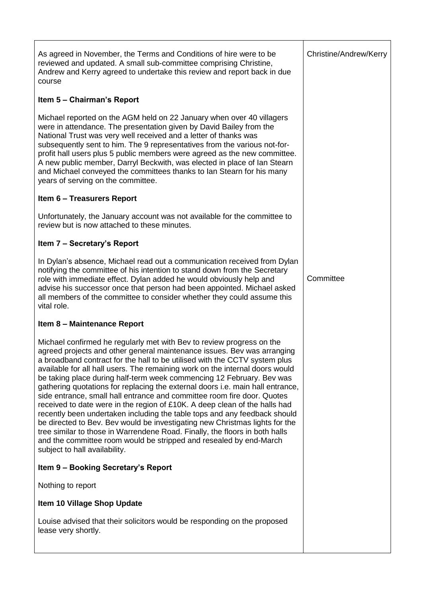As agreed in November, the Terms and Conditions of hire were to be reviewed and updated. A small sub-committee comprising Christine, Andrew and Kerry agreed to undertake this review and report back in due course

# **Item 5 – Chairman's Report**

Michael reported on the AGM held on 22 January when over 40 villagers were in attendance. The presentation given by David Bailey from the National Trust was very well received and a letter of thanks was subsequently sent to him. The 9 representatives from the various not-forprofit hall users plus 5 public members were agreed as the new committee. A new public member, Darryl Beckwith, was elected in place of Ian Stearn and Michael conveyed the committees thanks to Ian Stearn for his many years of serving on the committee.

## **Item 6 – Treasurers Report**

Unfortunately, the January account was not available for the committee to review but is now attached to these minutes.

## **Item 7 – Secretary's Report**

In Dylan's absence, Michael read out a communication received from Dylan notifying the committee of his intention to stand down from the Secretary role with immediate effect. Dylan added he would obviously help and advise his successor once that person had been appointed. Michael asked all members of the committee to consider whether they could assume this vital role.

## **Item 8 – Maintenance Report**

Michael confirmed he regularly met with Bev to review progress on the agreed projects and other general maintenance issues. Bev was arranging a broadband contract for the hall to be utilised with the CCTV system plus available for all hall users. The remaining work on the internal doors would be taking place during half-term week commencing 12 February. Bev was gathering quotations for replacing the external doors i.e. main hall entrance, side entrance, small hall entrance and committee room fire door. Quotes received to date were in the region of £10K. A deep clean of the halls had recently been undertaken including the table tops and any feedback should be directed to Bev. Bev would be investigating new Christmas lights for the tree similar to those in Warrendene Road. Finally, the floors in both halls and the committee room would be stripped and resealed by end-March subject to hall availability.

## **Item 9 – Booking Secretary's Report**

Nothing to report

**Item 10 Village Shop Update**

Louise advised that their solicitors would be responding on the proposed lease very shortly.

Christine/Andrew/Kerry

**Committee**